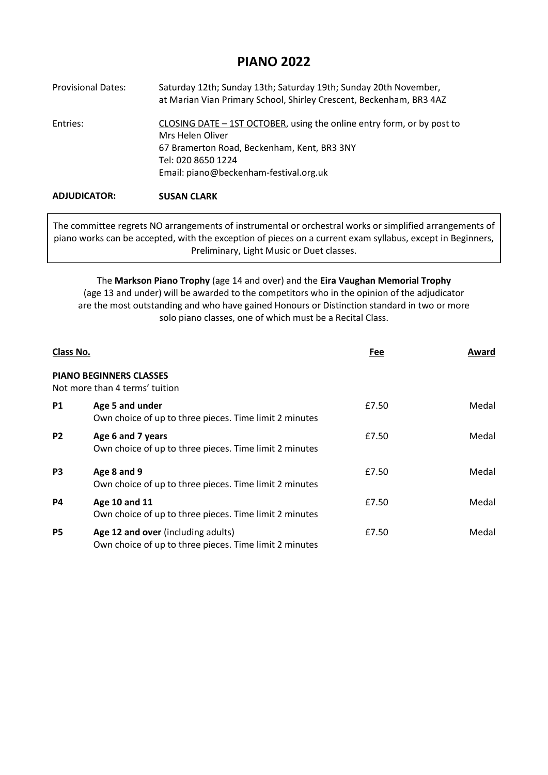# **PIANO 2022**

| <b>Provisional Dates:</b> | Saturday 12th; Sunday 13th; Saturday 19th; Sunday 20th November,<br>at Marian Vian Primary School, Shirley Crescent, Beckenham, BR3 4AZ   |
|---------------------------|-------------------------------------------------------------------------------------------------------------------------------------------|
| Entries:                  | CLOSING DATE - 1ST OCTOBER, using the online entry form, or by post to<br>Mrs Helen Oliver<br>67 Bramerton Road, Beckenham, Kent, BR3 3NY |
|                           | Tel: 020 8650 1224                                                                                                                        |
|                           | Email: piano@beckenham-festival.org.uk                                                                                                    |
| <b>ADJUDICATOR:</b>       | <b>SUSAN CLARK</b>                                                                                                                        |

The committee regrets NO arrangements of instrumental or orchestral works or simplified arrangements of piano works can be accepted, with the exception of pieces on a current exam syllabus, except in Beginners, Preliminary, Light Music or Duet classes.

The **Markson Piano Trophy** (age 14 and over) and the **Eira Vaughan Memorial Trophy**  (age 13 and under) will be awarded to the competitors who in the opinion of the adjudicator are the most outstanding and who have gained Honours or Distinction standard in two or more solo piano classes, one of which must be a Recital Class.

| Class No.      |                                                                                              | Fee   | Award |
|----------------|----------------------------------------------------------------------------------------------|-------|-------|
|                | <b>PIANO BEGINNERS CLASSES</b><br>Not more than 4 terms' tuition                             |       |       |
| <b>P1</b>      | Age 5 and under<br>Own choice of up to three pieces. Time limit 2 minutes                    | £7.50 | Medal |
| P <sub>2</sub> | Age 6 and 7 years<br>Own choice of up to three pieces. Time limit 2 minutes                  | £7.50 | Medal |
| P <sub>3</sub> | Age 8 and 9<br>Own choice of up to three pieces. Time limit 2 minutes                        | £7.50 | Medal |
| P4             | Age 10 and 11<br>Own choice of up to three pieces. Time limit 2 minutes                      | £7.50 | Medal |
| <b>P5</b>      | Age 12 and over (including adults)<br>Own choice of up to three pieces. Time limit 2 minutes | £7.50 | Medal |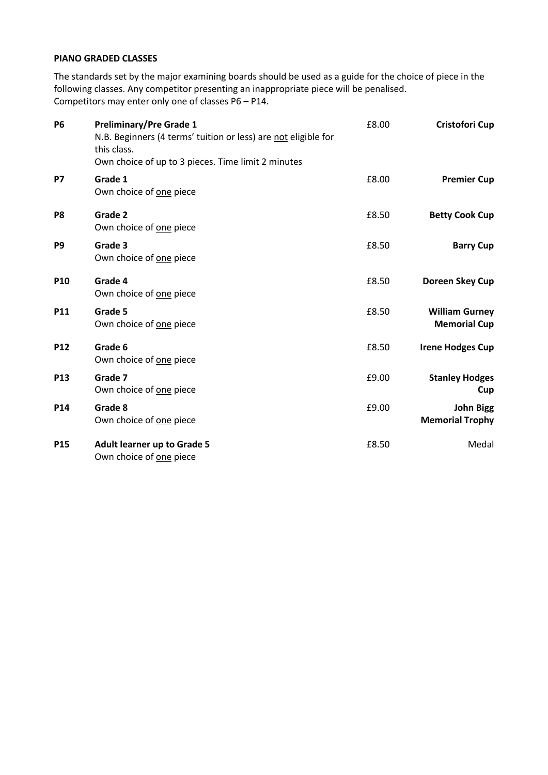### **PIANO GRADED CLASSES**

The standards set by the major examining boards should be used as a guide for the choice of piece in the following classes. Any competitor presenting an inappropriate piece will be penalised. Competitors may enter only one of classes P6 – P14.

| <b>Cristofori Cup</b>                        | £8.00 | <b>Preliminary/Pre Grade 1</b><br>N.B. Beginners (4 terms' tuition or less) are not eligible for<br>this class.<br>Own choice of up to 3 pieces. Time limit 2 minutes | <b>P6</b>      |
|----------------------------------------------|-------|-----------------------------------------------------------------------------------------------------------------------------------------------------------------------|----------------|
| <b>Premier Cup</b>                           | £8.00 | Grade 1<br>Own choice of one piece                                                                                                                                    | <b>P7</b>      |
| <b>Betty Cook Cup</b>                        | £8.50 | Grade 2<br>Own choice of one piece                                                                                                                                    | P <sub>8</sub> |
| <b>Barry Cup</b>                             | £8.50 | Grade 3<br>Own choice of one piece                                                                                                                                    | P <sub>9</sub> |
| Doreen Skey Cup                              | £8.50 | Grade 4<br>Own choice of one piece                                                                                                                                    | P10            |
| <b>William Gurney</b><br><b>Memorial Cup</b> | £8.50 | Grade 5<br>Own choice of one piece                                                                                                                                    | <b>P11</b>     |
| <b>Irene Hodges Cup</b>                      | £8.50 | Grade 6<br>Own choice of one piece                                                                                                                                    | <b>P12</b>     |
| <b>Stanley Hodges</b><br>Cup                 | £9.00 | Grade 7<br>Own choice of one piece                                                                                                                                    | P13            |
| <b>John Bigg</b><br><b>Memorial Trophy</b>   | £9.00 | Grade 8<br>Own choice of one piece                                                                                                                                    | P14            |
| Medal                                        | £8.50 | <b>Adult learner up to Grade 5</b><br>Own choice of one piece                                                                                                         | <b>P15</b>     |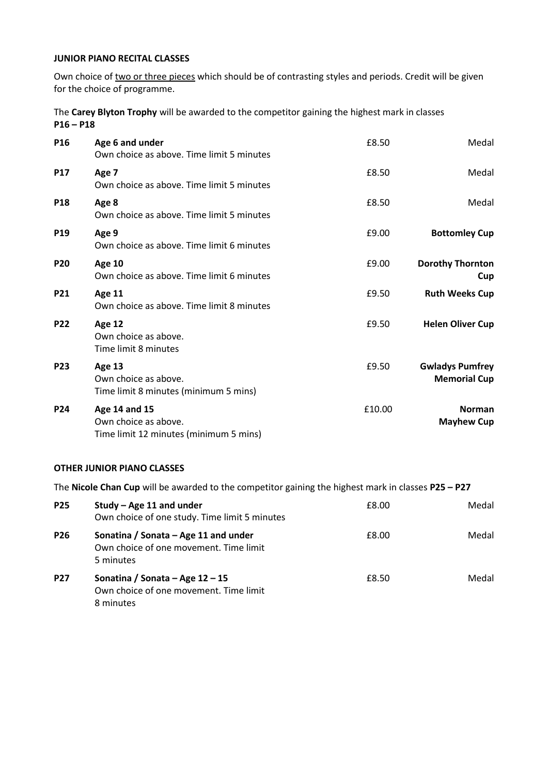## **JUNIOR PIANO RECITAL CLASSES**

Own choice of two or three pieces which should be of contrasting styles and periods. Credit will be given for the choice of programme.

The **Carey Blyton Trophy** will be awarded to the competitor gaining the highest mark in classes **P16 – P18** 

| P <sub>16</sub> | Age 6 and under<br>Own choice as above. Time limit 5 minutes                    | £8.50  | Medal                                         |
|-----------------|---------------------------------------------------------------------------------|--------|-----------------------------------------------|
| <b>P17</b>      | Age 7<br>Own choice as above. Time limit 5 minutes                              | £8.50  | Medal                                         |
| <b>P18</b>      | Age 8<br>Own choice as above. Time limit 5 minutes                              | £8.50  | Medal                                         |
| P <sub>19</sub> | Age 9<br>Own choice as above. Time limit 6 minutes                              | £9.00  | <b>Bottomley Cup</b>                          |
| <b>P20</b>      | <b>Age 10</b><br>Own choice as above. Time limit 6 minutes                      | £9.00  | <b>Dorothy Thornton</b><br>Cup                |
| <b>P21</b>      | Age 11<br>Own choice as above. Time limit 8 minutes                             | £9.50  | <b>Ruth Weeks Cup</b>                         |
| P22             | Age 12<br>Own choice as above.<br>Time limit 8 minutes                          | £9.50  | <b>Helen Oliver Cup</b>                       |
| <b>P23</b>      | Age 13<br>Own choice as above.<br>Time limit 8 minutes (minimum 5 mins)         | £9.50  | <b>Gwladys Pumfrey</b><br><b>Memorial Cup</b> |
| <b>P24</b>      | Age 14 and 15<br>Own choice as above.<br>Time limit 12 minutes (minimum 5 mins) | £10.00 | <b>Norman</b><br><b>Mayhew Cup</b>            |

#### **OTHER JUNIOR PIANO CLASSES**

The **Nicole Chan Cup** will be awarded to the competitor gaining the highest mark in classes **P25 – P27**

| <b>P25</b> | Study – Age 11 and under<br>Own choice of one study. Time limit 5 minutes                   | £8.00 | Medal |
|------------|---------------------------------------------------------------------------------------------|-------|-------|
| <b>P26</b> | Sonatina / Sonata - Age 11 and under<br>Own choice of one movement. Time limit<br>5 minutes | £8.00 | Medal |
| <b>P27</b> | Sonatina / Sonata – Age $12 - 15$<br>Own choice of one movement. Time limit<br>8 minutes    | £8.50 | Medal |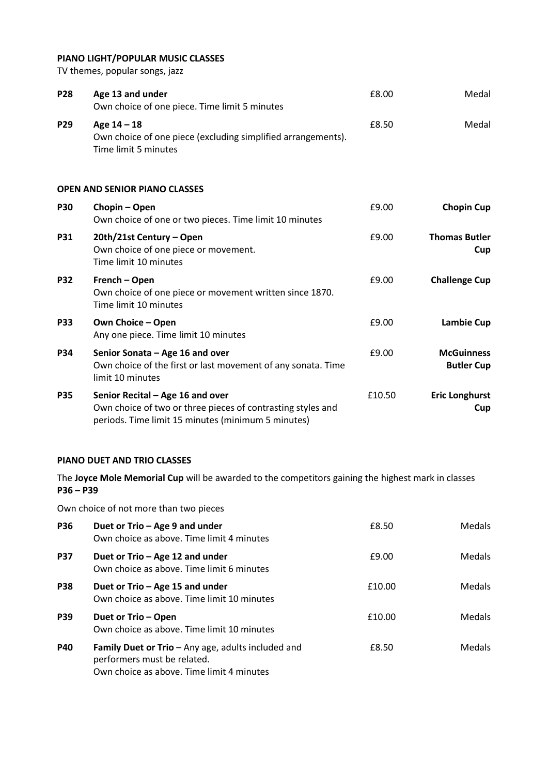## **PIANO LIGHT/POPULAR MUSIC CLASSES**

TV themes, popular songs, jazz

| <b>P28</b> | Age 13 and under<br>Own choice of one piece. Time limit 5 minutes                                                                                     | £8.00  | Medal                                  |
|------------|-------------------------------------------------------------------------------------------------------------------------------------------------------|--------|----------------------------------------|
| P29        | Age 14 - 18<br>Own choice of one piece (excluding simplified arrangements).<br>Time limit 5 minutes                                                   | £8.50  | Medal                                  |
|            | <b>OPEN AND SENIOR PIANO CLASSES</b>                                                                                                                  |        |                                        |
| <b>P30</b> | Chopin - Open<br>Own choice of one or two pieces. Time limit 10 minutes                                                                               | £9.00  | <b>Chopin Cup</b>                      |
| <b>P31</b> | 20th/21st Century - Open<br>Own choice of one piece or movement.<br>Time limit 10 minutes                                                             | £9.00  | <b>Thomas Butler</b><br>Cup            |
| <b>P32</b> | French - Open<br>Own choice of one piece or movement written since 1870.<br>Time limit 10 minutes                                                     | £9.00  | <b>Challenge Cup</b>                   |
| <b>P33</b> | Own Choice - Open<br>Any one piece. Time limit 10 minutes                                                                                             | £9.00  | <b>Lambie Cup</b>                      |
| <b>P34</b> | Senior Sonata - Age 16 and over<br>Own choice of the first or last movement of any sonata. Time<br>limit 10 minutes                                   | £9.00  | <b>McGuinness</b><br><b>Butler Cup</b> |
| <b>P35</b> | Senior Recital - Age 16 and over<br>Own choice of two or three pieces of contrasting styles and<br>periods. Time limit 15 minutes (minimum 5 minutes) | £10.50 | <b>Eric Longhurst</b><br>Cup           |

## **PIANO DUET AND TRIO CLASSES**

The **Joyce Mole Memorial Cup** will be awarded to the competitors gaining the highest mark in classes **P36 – P39**

Own choice of not more than two pieces

| <b>P36</b> | Duet or Trio - Age 9 and under<br>Own choice as above. Time limit 4 minutes                                                    | £8.50  | Medals        |
|------------|--------------------------------------------------------------------------------------------------------------------------------|--------|---------------|
| <b>P37</b> | Duet or Trio - Age 12 and under<br>Own choice as above. Time limit 6 minutes                                                   | £9.00  | <b>Medals</b> |
| <b>P38</b> | Duet or Trio - Age 15 and under<br>Own choice as above. Time limit 10 minutes                                                  | £10.00 | <b>Medals</b> |
| <b>P39</b> | Duet or Trio - Open<br>Own choice as above. Time limit 10 minutes                                                              | £10.00 | <b>Medals</b> |
| <b>P40</b> | Family Duet or Trio - Any age, adults included and<br>performers must be related.<br>Own choice as above. Time limit 4 minutes | £8.50  | <b>Medals</b> |